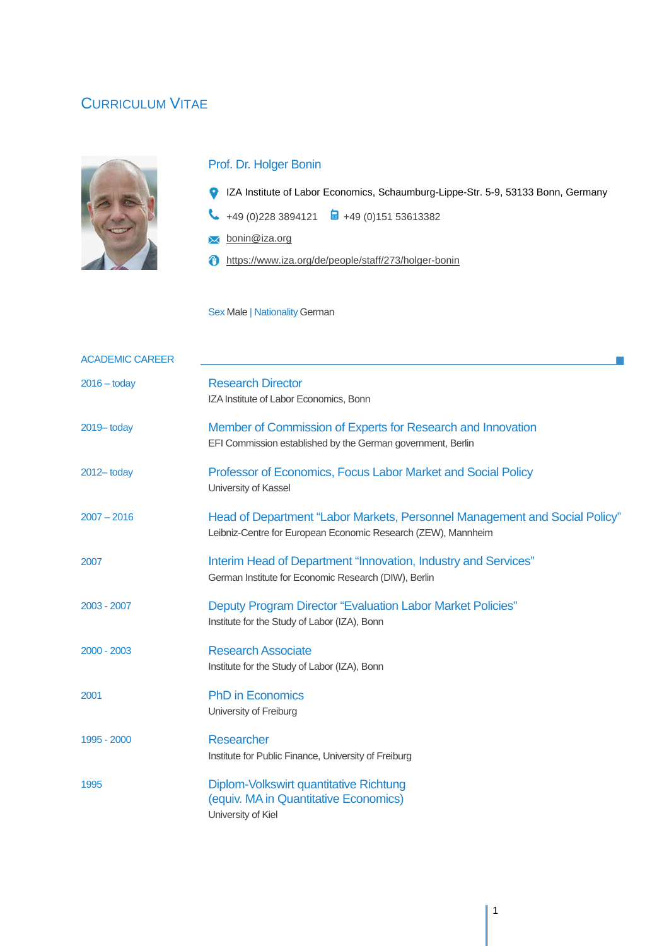# CURRICULUM VITAE



## Prof. Dr. Holger Bonin

- IZA Institute of Labor Economics, Schaumburg-Lippe-Str. 5-9, 53133 Bonn, Germany
- $\begin{array}{ccc} \bullet & +49 \ (0)228 \ 3894121 & \blacksquare & +49 \ (0)151 \ 53613382 \end{array}$
- **X** bonin@iza.org
- https://www.iza.org/de/people/staff/273/holger-bonin

Sex Male | Nationality German

| <b>ACADEMIC CAREER</b> |                                                                                                                                             |
|------------------------|---------------------------------------------------------------------------------------------------------------------------------------------|
| $2016 -$ today         | <b>Research Director</b><br>IZA Institute of Labor Economics, Bonn                                                                          |
| 2019 today             | Member of Commission of Experts for Research and Innovation<br>EFI Commission established by the German government, Berlin                  |
| $2012 -$ today         | Professor of Economics, Focus Labor Market and Social Policy<br>University of Kassel                                                        |
| $2007 - 2016$          | Head of Department "Labor Markets, Personnel Management and Social Policy"<br>Leibniz-Centre for European Economic Research (ZEW), Mannheim |
| 2007                   | Interim Head of Department "Innovation, Industry and Services"<br>German Institute for Economic Research (DIW), Berlin                      |
| 2003 - 2007            | Deputy Program Director "Evaluation Labor Market Policies"<br>Institute for the Study of Labor (IZA), Bonn                                  |
| 2000 - 2003            | <b>Research Associate</b><br>Institute for the Study of Labor (IZA), Bonn                                                                   |
| 2001                   | <b>PhD in Economics</b><br>University of Freiburg                                                                                           |
| 1995 - 2000            | <b>Researcher</b><br>Institute for Public Finance, University of Freiburg                                                                   |
| 1995                   | Diplom-Volkswirt quantitative Richtung<br>(equiv. MA in Quantitative Economics)<br>University of Kiel                                       |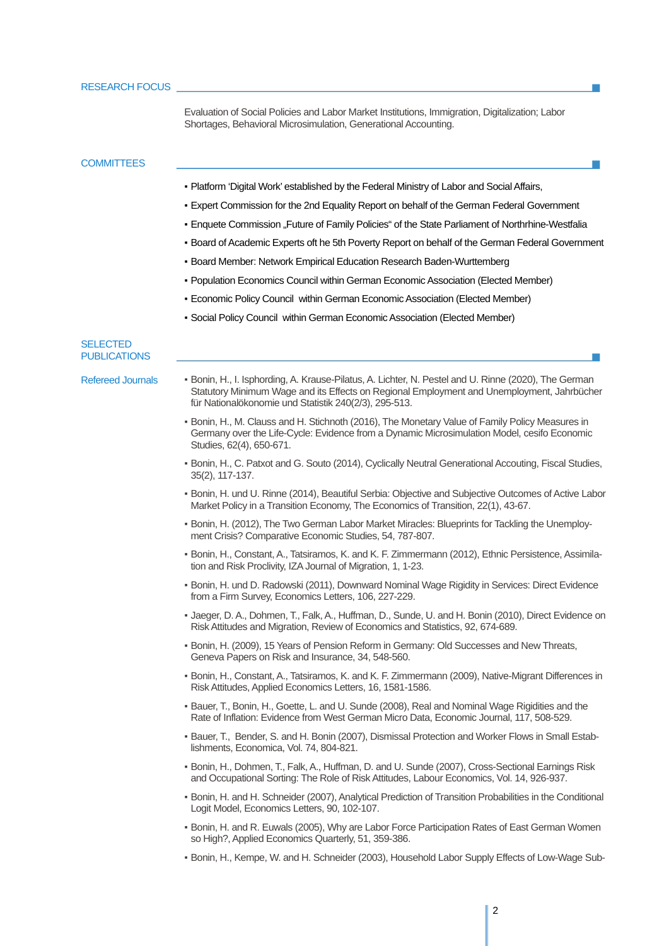Evaluation of Social Policies and Labor Market Institutions, Immigration, Digitalization; Labor Shortages, Behavioral Microsimulation, Generational Accounting.

#### **COMMITTEES**

- Platform 'Digital Work' established by the Federal Ministry of Labor and Social Affairs,
- Expert Commission for the 2nd Equality Report on behalf of the German Federal Government
- Enquete Commission "Future of Family Policies" of the State Parliament of Northrhine-Westfalia
- Board of Academic Experts oft he 5th Poverty Report on behalf of the German Federal Government
- **Board Member: Network Empirical Education Research Baden-Wurttemberg**
- Population Economics Council within German Economic Association (Elected Member)
- Economic Policy Council within German Economic Association (Elected Member)
- Social Policy Council within German Economic Association (Elected Member)

#### **SELECTED** PUBLICATIONS

- 
- Refereed Journals . Bonin, H., I. Isphording, A. Krause-Pilatus, A. Lichter, N. Pestel and U. Rinne (2020), The German Statutory Minimum Wage and its Effects on Regional Employment and Unemployment, Jahrbücher für Nationalökonomie und Statistik 240(2/3), 295-513.
	- Bonin, H., M. Clauss and H. Stichnoth (2016), The Monetary Value of Family Policy Measures in Germany over the Life-Cycle: Evidence from a Dynamic Microsimulation Model, cesifo Economic Studies, 62(4), 650-671.
	- Bonin, H., C. Patxot and G. Souto (2014), Cyclically Neutral Generational Accouting, Fiscal Studies, 35(2), 117-137.
	- Bonin, H. und U. Rinne (2014), Beautiful Serbia: Objective and Subjective Outcomes of Active Labor Market Policy in a Transition Economy, The Economics of Transition, 22(1), 43-67.
	- Bonin, H. (2012), The Two German Labor Market Miracles: Blueprints for Tackling the Unemployment Crisis? Comparative Economic Studies, 54, 787-807.
	- Bonin, H., Constant, A., Tatsiramos, K. and K. F. Zimmermann (2012), Ethnic Persistence, Assimilation and Risk Proclivity, IZA Journal of Migration, 1, 1-23.
	- Bonin, H. und D. Radowski (2011), Downward Nominal Wage Rigidity in Services: Direct Evidence from a Firm Survey, Economics Letters, 106, 227-229.
	- Jaeger, D. A., Dohmen, T., Falk, A., Huffman, D., Sunde, U. and H. Bonin (2010), Direct Evidence on Risk Attitudes and Migration, Review of Economics and Statistics, 92, 674-689.
	- Bonin, H. (2009), 15 Years of Pension Reform in Germany: Old Successes and New Threats, Geneva Papers on Risk and Insurance, 34, 548-560.
	- Bonin, H., Constant, A., Tatsiramos, K. and K. F. Zimmermann (2009), Native-Migrant Differences in Risk Attitudes, Applied Economics Letters, 16, 1581-1586.
	- Bauer, T., Bonin, H., Goette, L. and U. Sunde (2008), Real and Nominal Wage Rigidities and the Rate of Inflation: Evidence from West German Micro Data, Economic Journal, 117, 508-529.
	- Bauer, T., Bender, S. and H. Bonin (2007), Dismissal Protection and Worker Flows in Small Establishments, Economica, Vol. 74, 804-821.
	- Bonin, H., Dohmen, T., Falk, A., Huffman, D. and U. Sunde (2007), Cross-Sectional Earnings Risk and Occupational Sorting: The Role of Risk Attitudes, Labour Economics, Vol. 14, 926-937.
	- Bonin, H. and H. Schneider (2007), Analytical Prediction of Transition Probabilities in the Conditional Logit Model, Economics Letters, 90, 102-107.
	- Bonin, H. and R. Euwals (2005), Why are Labor Force Participation Rates of East German Women so High?, Applied Economics Quarterly, 51, 359-386.
	- Bonin, H., Kempe, W. and H. Schneider (2003), Household Labor Supply Effects of Low-Wage Sub-